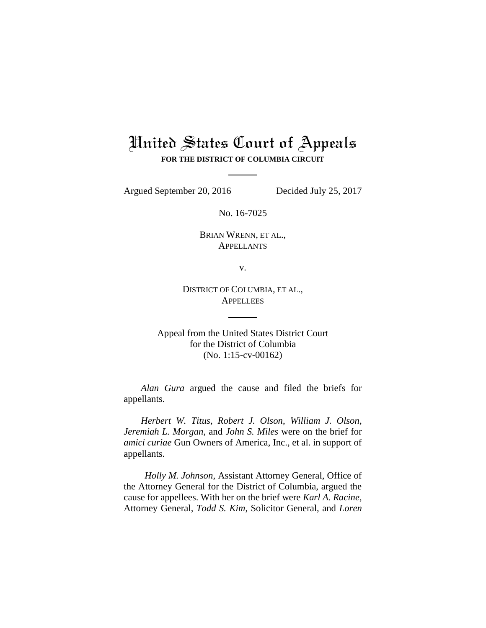# United States Court of Appeals **FOR THE DISTRICT OF COLUMBIA CIRCUIT**

Argued September 20, 2016 Decided July 25, 2017

No. 16-7025

BRIAN WRENN, ET AL., **APPELLANTS** 

v.

DISTRICT OF COLUMBIA, ET AL., **APPELLEES** 

Appeal from the United States District Court for the District of Columbia (No. 1:15-cv-00162)

*Alan Gura* argued the cause and filed the briefs for appellants.

*Herbert W. Titus*, *Robert J. Olson*, *William J. Olson*, *Jeremiah L. Morgan*, and *John S. Miles* were on the brief for *amici curiae* Gun Owners of America, Inc., et al. in support of appellants.

*Holly M. Johnson*, Assistant Attorney General, Office of the Attorney General for the District of Columbia, argued the cause for appellees. With her on the brief were *Karl A. Racine*, Attorney General, *Todd S. Kim*, Solicitor General, and *Loren*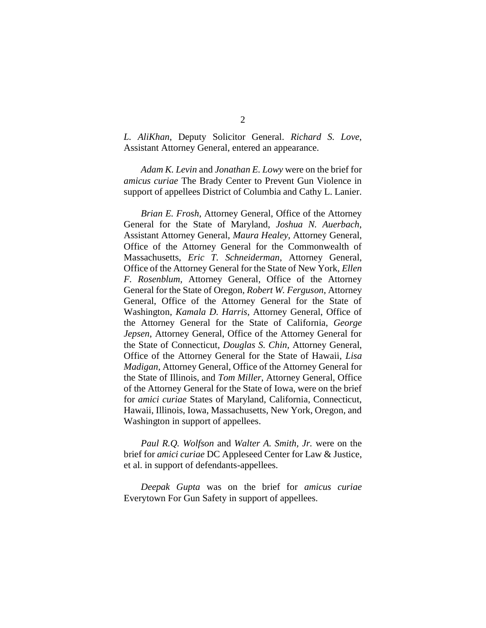*L. AliKhan*, Deputy Solicitor General. *Richard S. Love*, Assistant Attorney General, entered an appearance.

*Adam K. Levin* and *Jonathan E. Lowy* were on the brief for *amicus curiae* The Brady Center to Prevent Gun Violence in support of appellees District of Columbia and Cathy L. Lanier.

*Brian E. Frosh*, Attorney General, Office of the Attorney General for the State of Maryland, *Joshua N. Auerbach*, Assistant Attorney General, *Maura Healey*, Attorney General, Office of the Attorney General for the Commonwealth of Massachusetts, *Eric T. Schneiderman*, Attorney General, Office of the Attorney General for the State of New York, *Ellen F. Rosenblum*, Attorney General, Office of the Attorney General for the State of Oregon, *Robert W. Ferguson*, Attorney General, Office of the Attorney General for the State of Washington, *Kamala D. Harris*, Attorney General, Office of the Attorney General for the State of California, *George Jepsen*, Attorney General, Office of the Attorney General for the State of Connecticut, *Douglas S. Chin*, Attorney General, Office of the Attorney General for the State of Hawaii, *Lisa Madigan*, Attorney General, Office of the Attorney General for the State of Illinois, and *Tom Miller*, Attorney General, Office of the Attorney General for the State of Iowa, were on the brief for *amici curiae* States of Maryland, California, Connecticut, Hawaii, Illinois, Iowa, Massachusetts, New York, Oregon, and Washington in support of appellees.

*Paul R.Q. Wolfson* and *Walter A. Smith, Jr.* were on the brief for *amici curiae* DC Appleseed Center for Law & Justice, et al. in support of defendants-appellees.

*Deepak Gupta* was on the brief for *amicus curiae* Everytown For Gun Safety in support of appellees.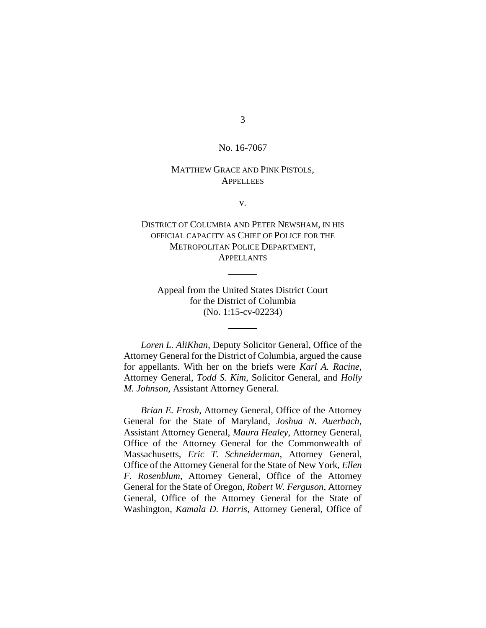## 3

#### No. 16-7067

#### MATTHEW GRACE AND PINK PISTOLS, **APPELLEES**

v.

### DISTRICT OF COLUMBIA AND PETER NEWSHAM, IN HIS OFFICIAL CAPACITY AS CHIEF OF POLICE FOR THE METROPOLITAN POLICE DEPARTMENT, **APPELLANTS**

Appeal from the United States District Court for the District of Columbia (No. 1:15-cv-02234)

*Loren L. AliKhan*, Deputy Solicitor General, Office of the Attorney General for the District of Columbia, argued the cause for appellants. With her on the briefs were *Karl A. Racine*, Attorney General, *Todd S. Kim*, Solicitor General, and *Holly M. Johnson*, Assistant Attorney General.

*Brian E. Frosh*, Attorney General, Office of the Attorney General for the State of Maryland, *Joshua N. Auerbach*, Assistant Attorney General, *Maura Healey*, Attorney General, Office of the Attorney General for the Commonwealth of Massachusetts, *Eric T. Schneiderman*, Attorney General, Office of the Attorney General for the State of New York, *Ellen F. Rosenblum*, Attorney General, Office of the Attorney General for the State of Oregon, *Robert W. Ferguson*, Attorney General, Office of the Attorney General for the State of Washington, *Kamala D. Harris*, Attorney General, Office of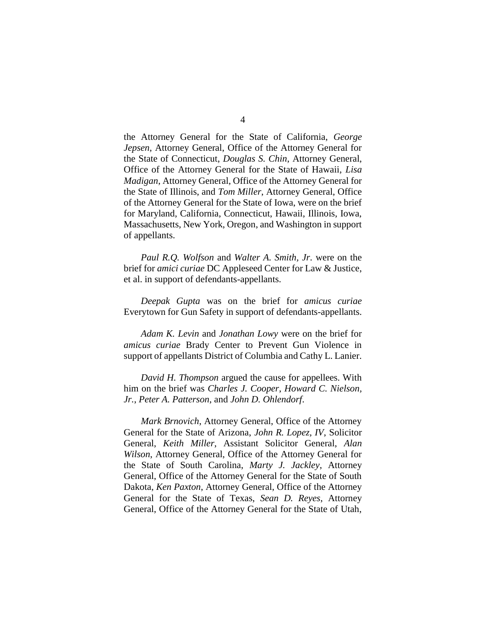the Attorney General for the State of California, *George Jepsen*, Attorney General, Office of the Attorney General for the State of Connecticut, *Douglas S. Chin*, Attorney General, Office of the Attorney General for the State of Hawaii, *Lisa Madigan*, Attorney General, Office of the Attorney General for the State of Illinois, and *Tom Miller*, Attorney General, Office of the Attorney General for the State of Iowa, were on the brief for Maryland, California, Connecticut, Hawaii, Illinois, Iowa, Massachusetts, New York, Oregon, and Washington in support of appellants.

*Paul R.Q. Wolfson* and *Walter A. Smith, Jr*. were on the brief for *amici curiae* DC Appleseed Center for Law & Justice, et al. in support of defendants-appellants.

*Deepak Gupta* was on the brief for *amicus curiae* Everytown for Gun Safety in support of defendants-appellants.

*Adam K. Levin* and *Jonathan Lowy* were on the brief for *amicus curiae* Brady Center to Prevent Gun Violence in support of appellants District of Columbia and Cathy L. Lanier.

*David H. Thompson* argued the cause for appellees. With him on the brief was *Charles J. Cooper*, *Howard C. Nielson, Jr.*, *Peter A. Patterson*, and *John D. Ohlendorf*.

*Mark Brnovich*, Attorney General, Office of the Attorney General for the State of Arizona, *John R. Lopez, IV*, Solicitor General, *Keith Miller*, Assistant Solicitor General, *Alan Wilson*, Attorney General, Office of the Attorney General for the State of South Carolina, *Marty J. Jackley*, Attorney General, Office of the Attorney General for the State of South Dakota, *Ken Paxton*, Attorney General, Office of the Attorney General for the State of Texas, *Sean D. Reyes*, Attorney General, Office of the Attorney General for the State of Utah,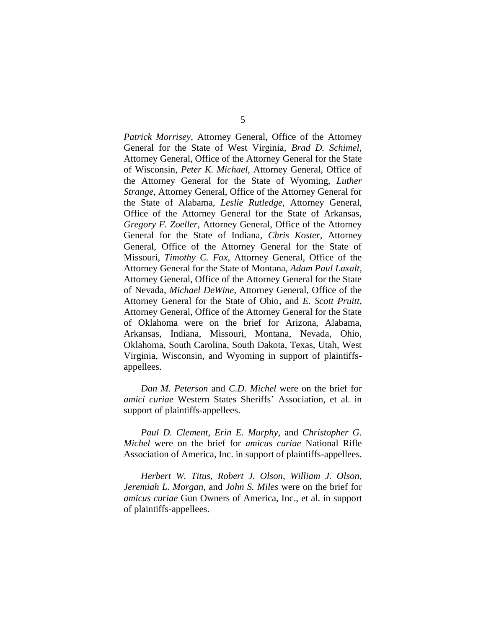*Patrick Morrisey*, Attorney General, Office of the Attorney General for the State of West Virginia, *Brad D. Schimel*, Attorney General, Office of the Attorney General for the State of Wisconsin, *Peter K. Michael*, Attorney General, Office of the Attorney General for the State of Wyoming, *Luther Strange*, Attorney General, Office of the Attorney General for the State of Alabama, *Leslie Rutledge*, Attorney General, Office of the Attorney General for the State of Arkansas, *Gregory F. Zoeller*, Attorney General, Office of the Attorney General for the State of Indiana, *Chris Koster*, Attorney General, Office of the Attorney General for the State of Missouri, *Timothy C. Fox*, Attorney General, Office of the Attorney General for the State of Montana, *Adam Paul Laxalt*, Attorney General, Office of the Attorney General for the State of Nevada, *Michael DeWine*, Attorney General, Office of the Attorney General for the State of Ohio, and *E. Scott Pruitt*, Attorney General, Office of the Attorney General for the State of Oklahoma were on the brief for Arizona, Alabama, Arkansas, Indiana, Missouri, Montana, Nevada, Ohio, Oklahoma, South Carolina, South Dakota, Texas, Utah, West Virginia, Wisconsin, and Wyoming in support of plaintiffsappellees.

*Dan M. Peterson* and *C.D. Michel* were on the brief for *amici curiae* Western States Sheriffs' Association, et al. in support of plaintiffs-appellees.

*Paul D. Clement*, *Erin E. Murphy*, and *Christopher G. Michel* were on the brief for *amicus curiae* National Rifle Association of America, Inc. in support of plaintiffs-appellees.

*Herbert W. Titus*, *Robert J. Olson*, *William J. Olson*, *Jeremiah L. Morgan*, and *John S. Miles* were on the brief for *amicus curiae* Gun Owners of America, Inc., et al. in support of plaintiffs-appellees.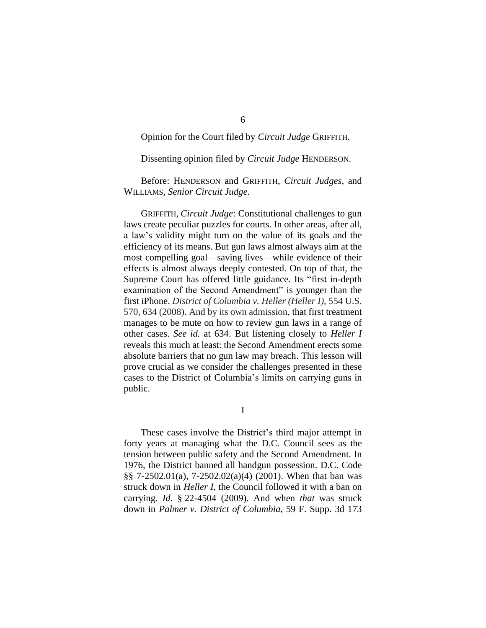#### Opinion for the Court filed by *Circuit Judge* GRIFFITH.

Dissenting opinion filed by *Circuit Judge* HENDERSON.

Before: HENDERSON and GRIFFITH, *Circuit Judges*, and WILLIAMS, *Senior Circuit Judge*.

GRIFFITH, *Circuit Judge*: Constitutional challenges to gun laws create peculiar puzzles for courts. In other areas, after all, a law's validity might turn on the value of its goals and the efficiency of its means. But gun laws almost always aim at the most compelling goal—saving lives—while evidence of their effects is almost always deeply contested. On top of that, the Supreme Court has offered little guidance. Its "first in-depth examination of the Second Amendment" is younger than the first iPhone. *District of Columbia v. Heller (Heller I)*, 554 U.S. 570, 634 (2008). And by its own admission, that first treatment manages to be mute on how to review gun laws in a range of other cases. *See id.* at 634. But listening closely to *Heller I* reveals this much at least: the Second Amendment erects some absolute barriers that no gun law may breach. This lesson will prove crucial as we consider the challenges presented in these cases to the District of Columbia's limits on carrying guns in public.

I

These cases involve the District's third major attempt in forty years at managing what the D.C. Council sees as the tension between public safety and the Second Amendment. In 1976, the District banned all handgun possession. D.C. Code §§ 7-2502.01(a), 7-2502.02(a)(4) (2001). When that ban was struck down in *Heller I*, the Council followed it with a ban on carrying. *Id.* § 22-4504 (2009). And when *that* was struck down in *Palmer v. District of Columbia*, 59 F. Supp. 3d 173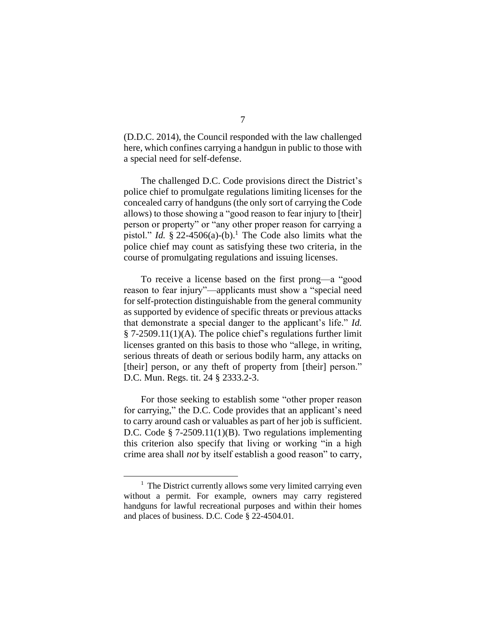(D.D.C. 2014), the Council responded with the law challenged here, which confines carrying a handgun in public to those with a special need for self-defense.

The challenged D.C. Code provisions direct the District's police chief to promulgate regulations limiting licenses for the concealed carry of handguns (the only sort of carrying the Code allows) to those showing a "good reason to fear injury to [their] person or property" or "any other proper reason for carrying a pistol." *Id.*  $\S$  22-4506(a)-(b).<sup>1</sup> The Code also limits what the police chief may count as satisfying these two criteria, in the course of promulgating regulations and issuing licenses.

To receive a license based on the first prong—a "good reason to fear injury"—applicants must show a "special need for self-protection distinguishable from the general community as supported by evidence of specific threats or previous attacks that demonstrate a special danger to the applicant's life." *Id.* § 7-2509.11(1)(A). The police chief's regulations further limit licenses granted on this basis to those who "allege, in writing, serious threats of death or serious bodily harm, any attacks on [their] person, or any theft of property from [their] person." D.C. Mun. Regs. tit. 24 § 2333.2-3.

For those seeking to establish some "other proper reason for carrying," the D.C. Code provides that an applicant's need to carry around cash or valuables as part of her job is sufficient. D.C. Code § 7-2509.11(1)(B). Two regulations implementing this criterion also specify that living or working "in a high crime area shall *not* by itself establish a good reason" to carry,

 $1$  The District currently allows some very limited carrying even without a permit. For example, owners may carry registered handguns for lawful recreational purposes and within their homes and places of business. D.C. Code § 22-4504.01.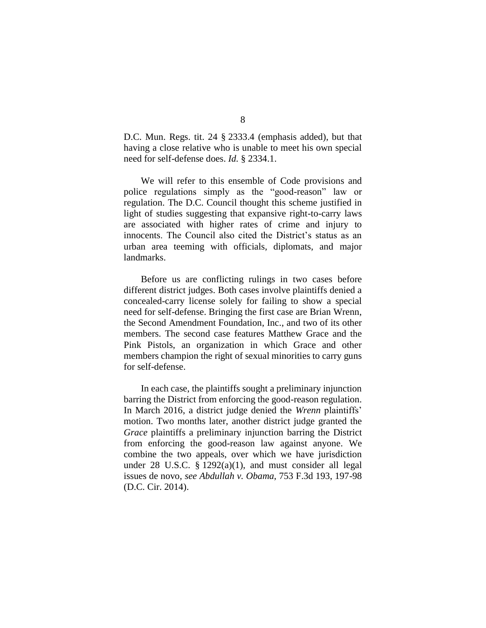D.C. Mun. Regs. tit. 24 § 2333.4 (emphasis added), but that having a close relative who is unable to meet his own special need for self-defense does. *Id.* § 2334.1.

We will refer to this ensemble of Code provisions and police regulations simply as the "good-reason" law or regulation. The D.C. Council thought this scheme justified in light of studies suggesting that expansive right-to-carry laws are associated with higher rates of crime and injury to innocents. The Council also cited the District's status as an urban area teeming with officials, diplomats, and major landmarks.

Before us are conflicting rulings in two cases before different district judges. Both cases involve plaintiffs denied a concealed-carry license solely for failing to show a special need for self-defense. Bringing the first case are Brian Wrenn, the Second Amendment Foundation, Inc., and two of its other members. The second case features Matthew Grace and the Pink Pistols, an organization in which Grace and other members champion the right of sexual minorities to carry guns for self-defense.

In each case, the plaintiffs sought a preliminary injunction barring the District from enforcing the good-reason regulation. In March 2016, a district judge denied the *Wrenn* plaintiffs' motion. Two months later, another district judge granted the *Grace* plaintiffs a preliminary injunction barring the District from enforcing the good-reason law against anyone. We combine the two appeals, over which we have jurisdiction under 28 U.S.C.  $\S 1292(a)(1)$ , and must consider all legal issues de novo, *see Abdullah v. Obama*, 753 F.3d 193, 197-98 (D.C. Cir. 2014).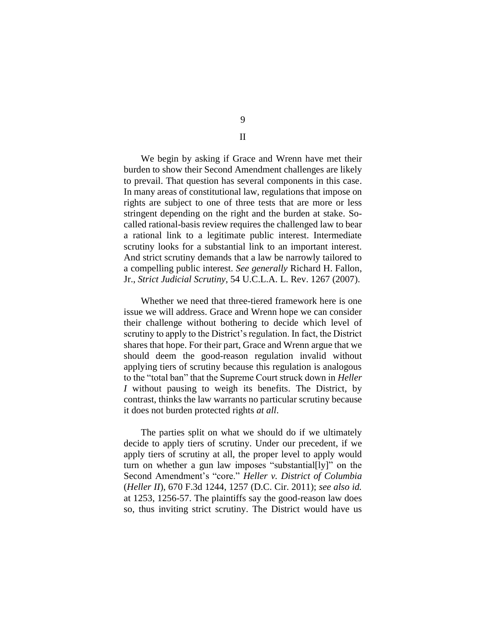We begin by asking if Grace and Wrenn have met their burden to show their Second Amendment challenges are likely to prevail. That question has several components in this case. In many areas of constitutional law, regulations that impose on rights are subject to one of three tests that are more or less stringent depending on the right and the burden at stake. Socalled rational-basis review requires the challenged law to bear a rational link to a legitimate public interest. Intermediate scrutiny looks for a substantial link to an important interest. And strict scrutiny demands that a law be narrowly tailored to a compelling public interest. *See generally* Richard H. Fallon, Jr., *Strict Judicial Scrutiny*, 54 U.C.L.A. L. Rev. 1267 (2007).

Whether we need that three-tiered framework here is one issue we will address. Grace and Wrenn hope we can consider their challenge without bothering to decide which level of scrutiny to apply to the District's regulation. In fact, the District shares that hope. For their part, Grace and Wrenn argue that we should deem the good-reason regulation invalid without applying tiers of scrutiny because this regulation is analogous to the "total ban" that the Supreme Court struck down in *Heller I* without pausing to weigh its benefits. The District, by contrast, thinks the law warrants no particular scrutiny because it does not burden protected rights *at all*.

The parties split on what we should do if we ultimately decide to apply tiers of scrutiny. Under our precedent, if we apply tiers of scrutiny at all, the proper level to apply would turn on whether a gun law imposes "substantial[ly]" on the Second Amendment's "core." *Heller v. District of Columbia*  (*Heller II*), 670 F.3d 1244, 1257 (D.C. Cir. 2011); *see also id.*  at 1253, 1256-57. The plaintiffs say the good-reason law does so, thus inviting strict scrutiny. The District would have us

9

II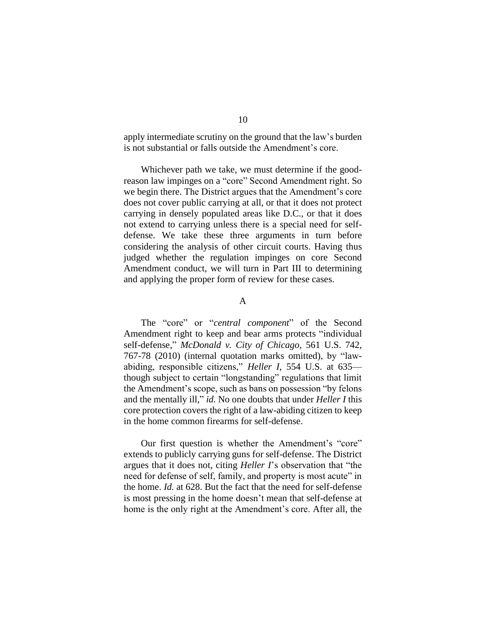apply intermediate scrutiny on the ground that the law's burden is not substantial or falls outside the Amendment's core.

Whichever path we take, we must determine if the goodreason law impinges on a "core" Second Amendment right. So we begin there. The District argues that the Amendment's core does not cover public carrying at all, or that it does not protect carrying in densely populated areas like D.C., or that it does not extend to carrying unless there is a special need for selfdefense. We take these three arguments in turn before considering the analysis of other circuit courts. Having thus judged whether the regulation impinges on core Second Amendment conduct, we will turn in Part III to determining and applying the proper form of review for these cases.

#### A

The "core" or "*central component*" of the Second Amendment right to keep and bear arms protects "individual self-defense," *McDonald v. City of Chicago*, 561 U.S. 742, 767-78 (2010) (internal quotation marks omitted), by "lawabiding, responsible citizens," *Heller I*, 554 U.S. at 635 though subject to certain "longstanding" regulations that limit the Amendment's scope, such as bans on possession "by felons and the mentally ill," *id.* No one doubts that under *Heller I* this core protection covers the right of a law-abiding citizen to keep in the home common firearms for self-defense.

Our first question is whether the Amendment's "core" extends to publicly carrying guns for self-defense. The District argues that it does not, citing *Heller I*'s observation that "the need for defense of self, family, and property is most acute" in the home. *Id.* at 628. But the fact that the need for self-defense is most pressing in the home doesn't mean that self-defense at home is the only right at the Amendment's core. After all, the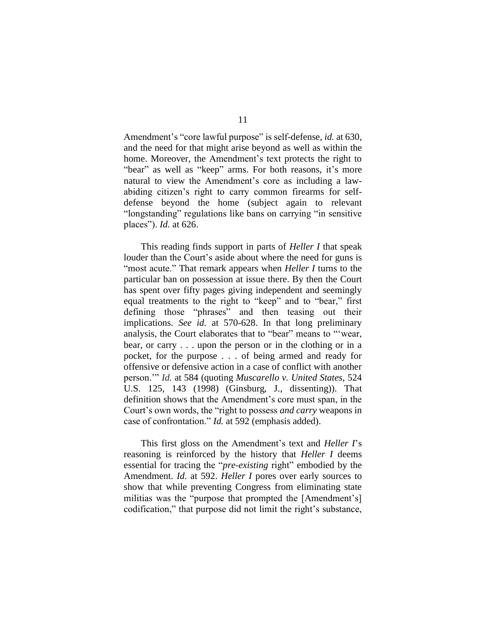Amendment's "core lawful purpose" is self-defense, *id.* at 630, and the need for that might arise beyond as well as within the home. Moreover, the Amendment's text protects the right to "bear" as well as "keep" arms. For both reasons, it's more natural to view the Amendment's core as including a lawabiding citizen's right to carry common firearms for selfdefense beyond the home (subject again to relevant "longstanding" regulations like bans on carrying "in sensitive places"). *Id.* at 626.

This reading finds support in parts of *Heller I* that speak louder than the Court's aside about where the need for guns is "most acute." That remark appears when *Heller I* turns to the particular ban on possession at issue there. By then the Court has spent over fifty pages giving independent and seemingly equal treatments to the right to "keep" and to "bear," first defining those "phrases" and then teasing out their implications. *See id.* at 570-628. In that long preliminary analysis, the Court elaborates that to "bear" means to "'wear, bear, or carry . . . upon the person or in the clothing or in a pocket, for the purpose . . . of being armed and ready for offensive or defensive action in a case of conflict with another person.'" *Id.* at 584 (quoting *Muscarello v. United States*, 524 U.S. 125, 143 (1998) (Ginsburg, J., dissenting)). That definition shows that the Amendment's core must span, in the Court's own words, the "right to possess *and carry* weapons in case of confrontation." *Id.* at 592 (emphasis added).

This first gloss on the Amendment's text and *Heller I*'s reasoning is reinforced by the history that *Heller I* deems essential for tracing the "*pre-existing* right" embodied by the Amendment. *Id.* at 592. *Heller I* pores over early sources to show that while preventing Congress from eliminating state militias was the "purpose that prompted the [Amendment's] codification," that purpose did not limit the right's substance,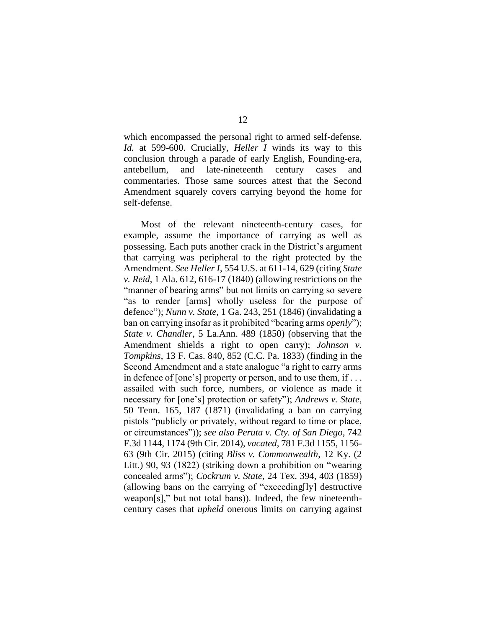which encompassed the personal right to armed self-defense. *Id.* at 599-600. Crucially, *Heller I* winds its way to this conclusion through a parade of early English, Founding-era, antebellum, and late-nineteenth century cases and commentaries. Those same sources attest that the Second Amendment squarely covers carrying beyond the home for self-defense.

Most of the relevant nineteenth-century cases, for example, assume the importance of carrying as well as possessing. Each puts another crack in the District's argument that carrying was peripheral to the right protected by the Amendment. *See Heller I*, 554 U.S. at 611-14, 629 (citing *State v. Reid*, 1 Ala. 612, 616-17 (1840) (allowing restrictions on the "manner of bearing arms" but not limits on carrying so severe "as to render [arms] wholly useless for the purpose of defence"); *Nunn v. State*, 1 Ga. 243, 251 (1846) (invalidating a ban on carrying insofar as it prohibited "bearing arms *openly*"); *State v. Chandler*, 5 La.Ann. 489 (1850) (observing that the Amendment shields a right to open carry); *Johnson v. Tompkins*, 13 F. Cas. 840, 852 (C.C. Pa. 1833) (finding in the Second Amendment and a state analogue "a right to carry arms in defence of [one's] property or person, and to use them, if . . . assailed with such force, numbers, or violence as made it necessary for [one's] protection or safety"); *Andrews v. State*, 50 Tenn. 165, 187 (1871) (invalidating a ban on carrying pistols "publicly or privately, without regard to time or place, or circumstances")); *see also Peruta v. Cty. of San Diego*, 742 F.3d 1144, 1174 (9th Cir. 2014), *vacated*, 781 F.3d 1155, 1156- 63 (9th Cir. 2015) (citing *Bliss v. Commonwealth*, 12 Ky. (2 Litt.) 90, 93 (1822) (striking down a prohibition on "wearing concealed arms"); *Cockrum v. State*, 24 Tex. 394, 403 (1859) (allowing bans on the carrying of "exceeding[ly] destructive weapon[s]," but not total bans)). Indeed, the few nineteenthcentury cases that *upheld* onerous limits on carrying against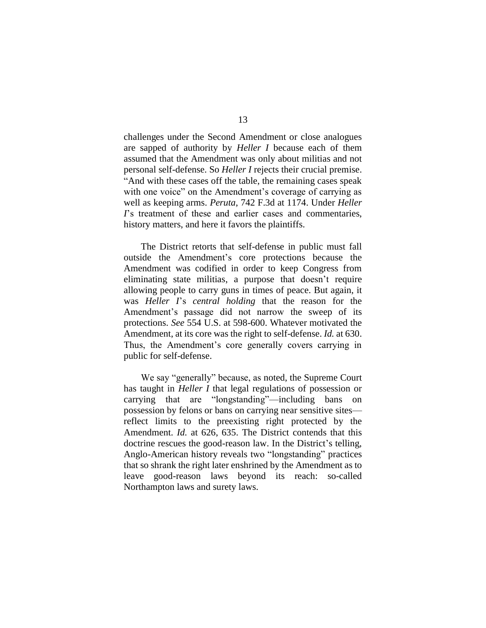challenges under the Second Amendment or close analogues are sapped of authority by *Heller I* because each of them assumed that the Amendment was only about militias and not personal self-defense. So *Heller I* rejects their crucial premise. "And with these cases off the table, the remaining cases speak with one voice" on the Amendment's coverage of carrying as well as keeping arms. *Peruta*, 742 F.3d at 1174. Under *Heller I*'s treatment of these and earlier cases and commentaries, history matters, and here it favors the plaintiffs.

The District retorts that self-defense in public must fall outside the Amendment's core protections because the Amendment was codified in order to keep Congress from eliminating state militias, a purpose that doesn't require allowing people to carry guns in times of peace. But again, it was *Heller I*'s *central holding* that the reason for the Amendment's passage did not narrow the sweep of its protections. *See* 554 U.S. at 598-600. Whatever motivated the Amendment, at its core was the right to self-defense. *Id.* at 630. Thus, the Amendment's core generally covers carrying in public for self-defense.

We say "generally" because, as noted, the Supreme Court has taught in *Heller I* that legal regulations of possession or carrying that are "longstanding"—including bans on possession by felons or bans on carrying near sensitive sites reflect limits to the preexisting right protected by the Amendment. *Id.* at 626, 635. The District contends that this doctrine rescues the good-reason law. In the District's telling, Anglo-American history reveals two "longstanding" practices that so shrank the right later enshrined by the Amendment as to leave good-reason laws beyond its reach: so-called Northampton laws and surety laws.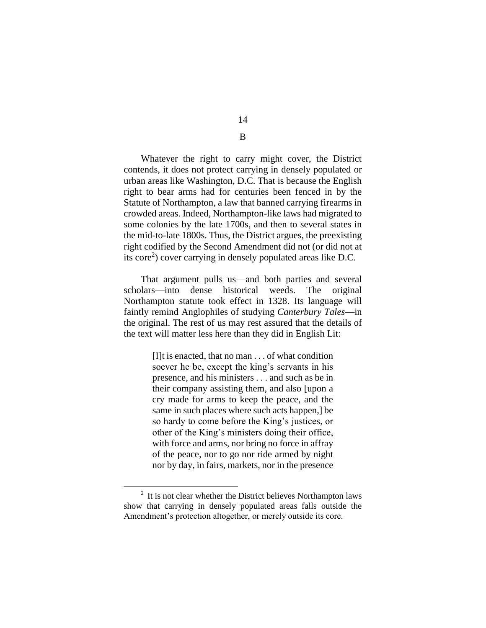Whatever the right to carry might cover, the District contends, it does not protect carrying in densely populated or urban areas like Washington, D.C. That is because the English right to bear arms had for centuries been fenced in by the Statute of Northampton, a law that banned carrying firearms in crowded areas. Indeed, Northampton-like laws had migrated to some colonies by the late 1700s, and then to several states in the mid-to-late 1800s. Thus, the District argues, the preexisting right codified by the Second Amendment did not (or did not at its core<sup>2</sup>) cover carrying in densely populated areas like D.C.

That argument pulls us—and both parties and several scholars—into dense historical weeds. The original Northampton statute took effect in 1328. Its language will faintly remind Anglophiles of studying *Canterbury Tales*—in the original. The rest of us may rest assured that the details of the text will matter less here than they did in English Lit:

> [I]t is enacted, that no man . . . of what condition soever he be, except the king's servants in his presence, and his ministers . . . and such as be in their company assisting them, and also [upon a cry made for arms to keep the peace, and the same in such places where such acts happen,] be so hardy to come before the King's justices, or other of the King's ministers doing their office, with force and arms, nor bring no force in affray of the peace, nor to go nor ride armed by night nor by day, in fairs, markets, nor in the presence

 $\overline{a}$ 

14 B

 $2<sup>2</sup>$  It is not clear whether the District believes Northampton laws show that carrying in densely populated areas falls outside the Amendment's protection altogether, or merely outside its core.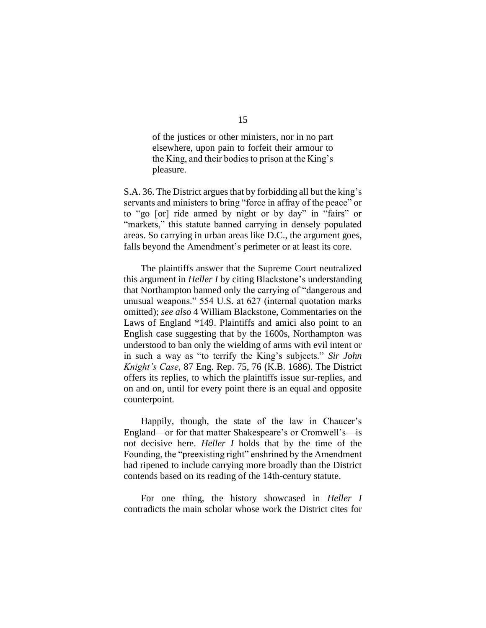of the justices or other ministers, nor in no part elsewhere, upon pain to forfeit their armour to the King, and their bodies to prison at the King's pleasure.

S.A. 36. The District argues that by forbidding all but the king's servants and ministers to bring "force in affray of the peace" or to "go [or] ride armed by night or by day" in "fairs" or "markets," this statute banned carrying in densely populated areas. So carrying in urban areas like D.C., the argument goes, falls beyond the Amendment's perimeter or at least its core.

The plaintiffs answer that the Supreme Court neutralized this argument in *Heller I* by citing Blackstone's understanding that Northampton banned only the carrying of "dangerous and unusual weapons." 554 U.S. at 627 (internal quotation marks omitted); *see also* 4 William Blackstone, Commentaries on the Laws of England \*149. Plaintiffs and amici also point to an English case suggesting that by the 1600s, Northampton was understood to ban only the wielding of arms with evil intent or in such a way as "to terrify the King's subjects." *Sir John Knight's Case*, 87 Eng. Rep. 75, 76 (K.B. 1686). The District offers its replies, to which the plaintiffs issue sur-replies, and on and on, until for every point there is an equal and opposite counterpoint.

Happily, though, the state of the law in Chaucer's England—or for that matter Shakespeare's or Cromwell's—is not decisive here. *Heller I* holds that by the time of the Founding, the "preexisting right" enshrined by the Amendment had ripened to include carrying more broadly than the District contends based on its reading of the 14th-century statute.

For one thing, the history showcased in *Heller I*  contradicts the main scholar whose work the District cites for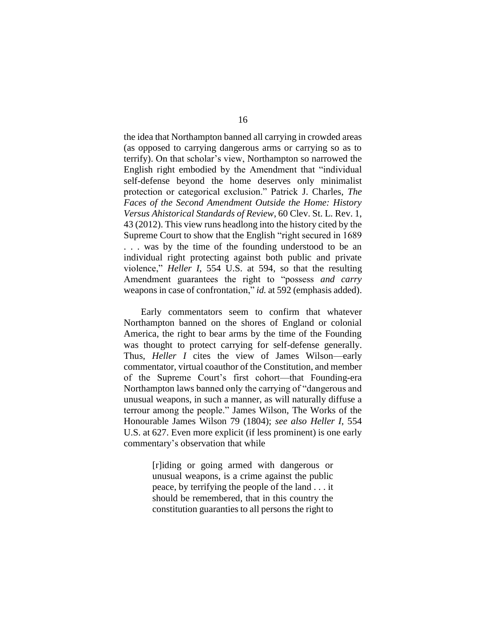the idea that Northampton banned all carrying in crowded areas (as opposed to carrying dangerous arms or carrying so as to terrify). On that scholar's view, Northampton so narrowed the English right embodied by the Amendment that "individual self-defense beyond the home deserves only minimalist protection or categorical exclusion." Patrick J. Charles, *The Faces of the Second Amendment Outside the Home: History Versus Ahistorical Standards of Review*, 60 Clev. St. L. Rev. 1, 43 (2012). This view runs headlong into the history cited by the Supreme Court to show that the English "right secured in 1689 . . . was by the time of the founding understood to be an individual right protecting against both public and private violence," *Heller I*, 554 U.S. at 594, so that the resulting Amendment guarantees the right to "possess *and carry* weapons in case of confrontation," *id.* at 592 (emphasis added).

Early commentators seem to confirm that whatever Northampton banned on the shores of England or colonial America, the right to bear arms by the time of the Founding was thought to protect carrying for self-defense generally. Thus, *Heller I* cites the view of James Wilson—early commentator, virtual coauthor of the Constitution, and member of the Supreme Court's first cohort—that Founding-era Northampton laws banned only the carrying of "dangerous and unusual weapons, in such a manner, as will naturally diffuse a terrour among the people." James Wilson, The Works of the Honourable James Wilson 79 (1804); *see also Heller I*, 554 U.S. at 627. Even more explicit (if less prominent) is one early commentary's observation that while

> [r]iding or going armed with dangerous or unusual weapons, is a crime against the public peace, by terrifying the people of the land . . . it should be remembered, that in this country the constitution guaranties to all persons the right to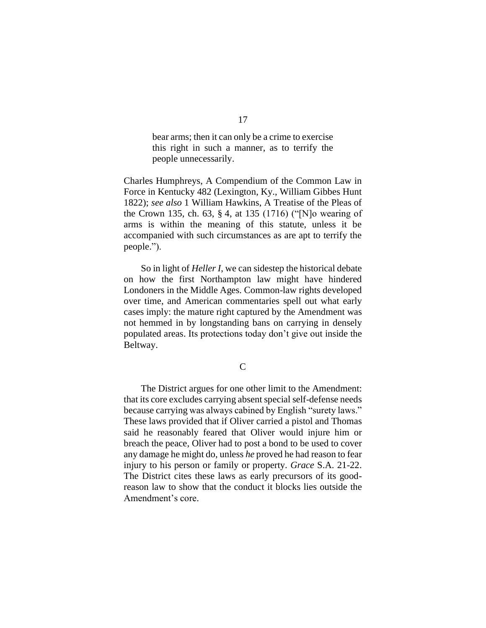bear arms; then it can only be a crime to exercise this right in such a manner, as to terrify the people unnecessarily.

Charles Humphreys, A Compendium of the Common Law in Force in Kentucky 482 (Lexington, Ky., William Gibbes Hunt 1822); *see also* 1 William Hawkins, A Treatise of the Pleas of the Crown 135, ch. 63, § 4, at 135 (1716) ("[N]o wearing of arms is within the meaning of this statute, unless it be accompanied with such circumstances as are apt to terrify the people.").

So in light of *Heller I*, we can sidestep the historical debate on how the first Northampton law might have hindered Londoners in the Middle Ages. Common-law rights developed over time, and American commentaries spell out what early cases imply: the mature right captured by the Amendment was not hemmed in by longstanding bans on carrying in densely populated areas. Its protections today don't give out inside the Beltway.

 $\overline{C}$ 

The District argues for one other limit to the Amendment: that its core excludes carrying absent special self-defense needs because carrying was always cabined by English "surety laws." These laws provided that if Oliver carried a pistol and Thomas said he reasonably feared that Oliver would injure him or breach the peace, Oliver had to post a bond to be used to cover any damage he might do, unless *he* proved he had reason to fear injury to his person or family or property. *Grace* S.A. 21-22. The District cites these laws as early precursors of its goodreason law to show that the conduct it blocks lies outside the Amendment's core.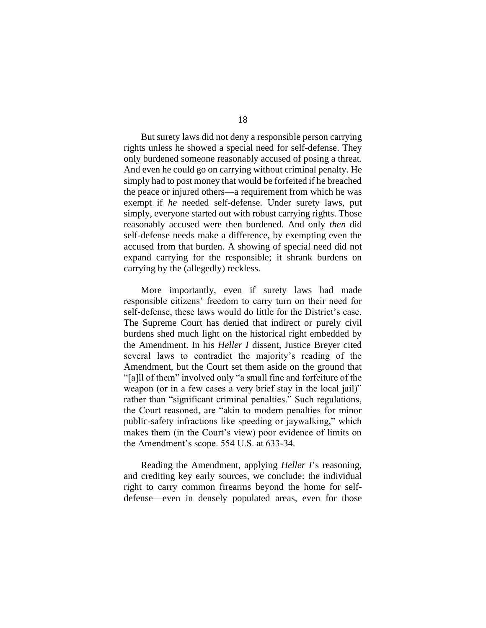But surety laws did not deny a responsible person carrying rights unless he showed a special need for self-defense. They only burdened someone reasonably accused of posing a threat. And even he could go on carrying without criminal penalty. He simply had to post money that would be forfeited if he breached the peace or injured others—a requirement from which he was exempt if *he* needed self-defense. Under surety laws, put simply, everyone started out with robust carrying rights. Those reasonably accused were then burdened. And only *then* did self-defense needs make a difference, by exempting even the accused from that burden. A showing of special need did not expand carrying for the responsible; it shrank burdens on carrying by the (allegedly) reckless.

More importantly, even if surety laws had made responsible citizens' freedom to carry turn on their need for self-defense, these laws would do little for the District's case. The Supreme Court has denied that indirect or purely civil burdens shed much light on the historical right embedded by the Amendment. In his *Heller I* dissent, Justice Breyer cited several laws to contradict the majority's reading of the Amendment, but the Court set them aside on the ground that "[a]ll of them" involved only "a small fine and forfeiture of the weapon (or in a few cases a very brief stay in the local jail)" rather than "significant criminal penalties." Such regulations, the Court reasoned, are "akin to modern penalties for minor public-safety infractions like speeding or jaywalking," which makes them (in the Court's view) poor evidence of limits on the Amendment's scope. 554 U.S. at 633-34.

Reading the Amendment, applying *Heller I*'s reasoning, and crediting key early sources, we conclude: the individual right to carry common firearms beyond the home for selfdefense—even in densely populated areas, even for those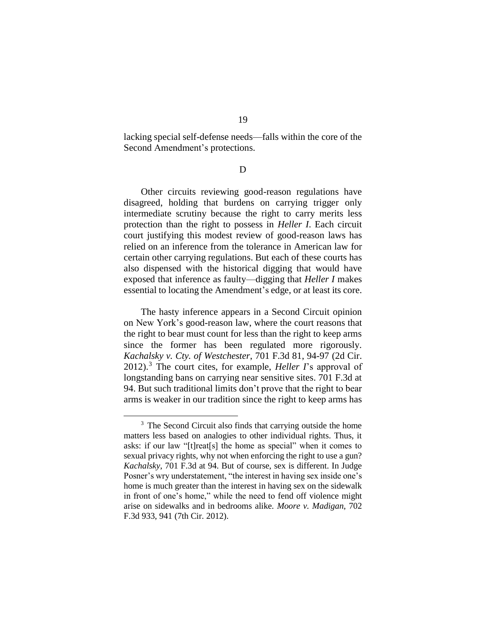lacking special self-defense needs—falls within the core of the Second Amendment's protections.

D

Other circuits reviewing good-reason regulations have disagreed, holding that burdens on carrying trigger only intermediate scrutiny because the right to carry merits less protection than the right to possess in *Heller I*. Each circuit court justifying this modest review of good-reason laws has relied on an inference from the tolerance in American law for certain other carrying regulations. But each of these courts has also dispensed with the historical digging that would have exposed that inference as faulty—digging that *Heller I* makes essential to locating the Amendment's edge, or at least its core.

The hasty inference appears in a Second Circuit opinion on New York's good-reason law, where the court reasons that the right to bear must count for less than the right to keep arms since the former has been regulated more rigorously. *Kachalsky v. Cty. of Westchester*, 701 F.3d 81, 94-97 (2d Cir. 2012). <sup>3</sup> The court cites, for example, *Heller I*'s approval of longstanding bans on carrying near sensitive sites. 701 F.3d at 94. But such traditional limits don't prove that the right to bear arms is weaker in our tradition since the right to keep arms has

<sup>&</sup>lt;sup>3</sup> The Second Circuit also finds that carrying outside the home matters less based on analogies to other individual rights. Thus, it asks: if our law "[t]reat[s] the home as special" when it comes to sexual privacy rights, why not when enforcing the right to use a gun? *Kachalsky*, 701 F.3d at 94. But of course, sex is different. In Judge Posner's wry understatement, "the interest in having sex inside one's home is much greater than the interest in having sex on the sidewalk in front of one's home," while the need to fend off violence might arise on sidewalks and in bedrooms alike. *Moore v. Madigan*, 702 F.3d 933, 941 (7th Cir. 2012).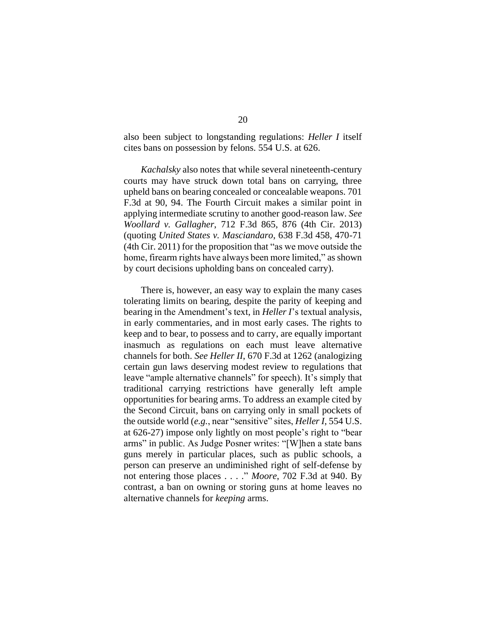also been subject to longstanding regulations: *Heller I* itself cites bans on possession by felons. 554 U.S. at 626.

*Kachalsky* also notes that while several nineteenth-century courts may have struck down total bans on carrying, three upheld bans on bearing concealed or concealable weapons. 701 F.3d at 90, 94. The Fourth Circuit makes a similar point in applying intermediate scrutiny to another good-reason law. *See Woollard v. Gallagher*, 712 F.3d 865, 876 (4th Cir. 2013) (quoting *United States v. Masciandaro*, 638 F.3d 458, 470-71 (4th Cir. 2011) for the proposition that "as we move outside the home, firearm rights have always been more limited," as shown by court decisions upholding bans on concealed carry).

There is, however, an easy way to explain the many cases tolerating limits on bearing, despite the parity of keeping and bearing in the Amendment's text, in *Heller I*'s textual analysis, in early commentaries, and in most early cases. The rights to keep and to bear, to possess and to carry, are equally important inasmuch as regulations on each must leave alternative channels for both. *See Heller II*, 670 F.3d at 1262 (analogizing certain gun laws deserving modest review to regulations that leave "ample alternative channels" for speech). It's simply that traditional carrying restrictions have generally left ample opportunities for bearing arms. To address an example cited by the Second Circuit, bans on carrying only in small pockets of the outside world (*e.g.*, near "sensitive" sites, *Heller I*, 554 U.S. at 626-27) impose only lightly on most people's right to "bear arms" in public. As Judge Posner writes: "[W]hen a state bans guns merely in particular places, such as public schools, a person can preserve an undiminished right of self-defense by not entering those places . . . ." *Moore*, 702 F.3d at 940. By contrast, a ban on owning or storing guns at home leaves no alternative channels for *keeping* arms.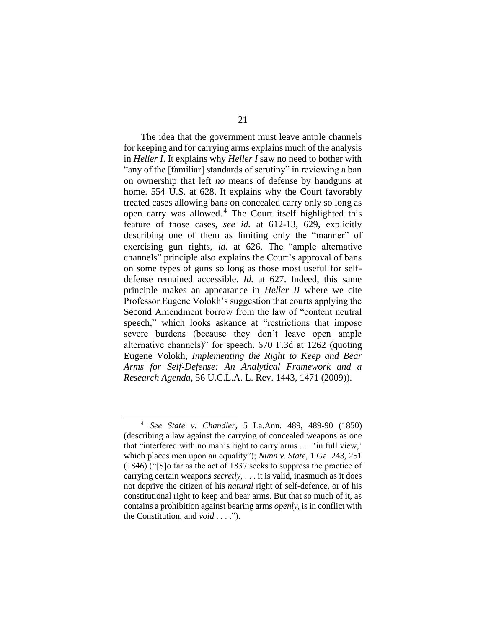The idea that the government must leave ample channels for keeping and for carrying arms explains much of the analysis in *Heller I*. It explains why *Heller I* saw no need to bother with "any of the [familiar] standards of scrutiny" in reviewing a ban on ownership that left *no* means of defense by handguns at home. 554 U.S. at 628. It explains why the Court favorably treated cases allowing bans on concealed carry only so long as open carry was allowed. <sup>4</sup> The Court itself highlighted this feature of those cases, *see id.* at 612-13, 629, explicitly describing one of them as limiting only the "manner" of exercising gun rights, *id.* at 626. The "ample alternative channels" principle also explains the Court's approval of bans on some types of guns so long as those most useful for selfdefense remained accessible. *Id.* at 627. Indeed, this same principle makes an appearance in *Heller II* where we cite Professor Eugene Volokh's suggestion that courts applying the Second Amendment borrow from the law of "content neutral speech," which looks askance at "restrictions that impose severe burdens (because they don't leave open ample alternative channels)" for speech. 670 F.3d at 1262 (quoting Eugene Volokh, *Implementing the Right to Keep and Bear Arms for Self-Defense: An Analytical Framework and a Research Agenda*, 56 U.C.L.A. L. Rev. 1443, 1471 (2009)).

<sup>4</sup> *See State v. Chandler,* 5 La.Ann. 489, 489-90 (1850) (describing a law against the carrying of concealed weapons as one that "interfered with no man's right to carry arms . . . 'in full view,' which places men upon an equality"); *Nunn v. State,* 1 Ga. 243, 251 (1846) ("[S]o far as the act of 1837 seeks to suppress the practice of carrying certain weapons *secretly*, . . . it is valid, inasmuch as it does not deprive the citizen of his *natural* right of self-defence, or of his constitutional right to keep and bear arms. But that so much of it, as contains a prohibition against bearing arms *openly*, is in conflict with the Constitution, and *void* . . . .").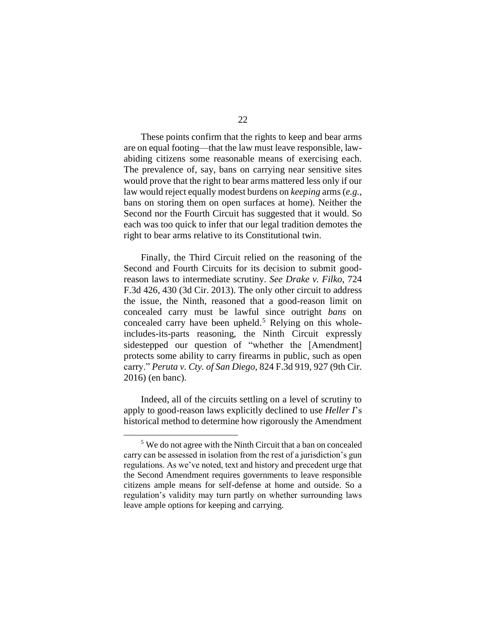These points confirm that the rights to keep and bear arms are on equal footing—that the law must leave responsible, lawabiding citizens some reasonable means of exercising each. The prevalence of, say, bans on carrying near sensitive sites would prove that the right to bear arms mattered less only if our law would reject equally modest burdens on *keeping* arms (*e.g.*, bans on storing them on open surfaces at home). Neither the Second nor the Fourth Circuit has suggested that it would. So each was too quick to infer that our legal tradition demotes the right to bear arms relative to its Constitutional twin.

Finally, the Third Circuit relied on the reasoning of the Second and Fourth Circuits for its decision to submit goodreason laws to intermediate scrutiny. *See Drake v. Filko*, 724 F.3d 426, 430 (3d Cir. 2013). The only other circuit to address the issue, the Ninth, reasoned that a good-reason limit on concealed carry must be lawful since outright *bans* on concealed carry have been upheld. <sup>5</sup> Relying on this wholeincludes-its-parts reasoning, the Ninth Circuit expressly sidestepped our question of "whether the [Amendment] protects some ability to carry firearms in public, such as open carry." *Peruta v. Cty. of San Diego*, 824 F.3d 919, 927 (9th Cir. 2016) (en banc).

Indeed, all of the circuits settling on a level of scrutiny to apply to good-reason laws explicitly declined to use *Heller I*'s historical method to determine how rigorously the Amendment

<sup>&</sup>lt;sup>5</sup> We do not agree with the Ninth Circuit that a ban on concealed carry can be assessed in isolation from the rest of a jurisdiction's gun regulations. As we've noted, text and history and precedent urge that the Second Amendment requires governments to leave responsible citizens ample means for self-defense at home and outside. So a regulation's validity may turn partly on whether surrounding laws leave ample options for keeping and carrying.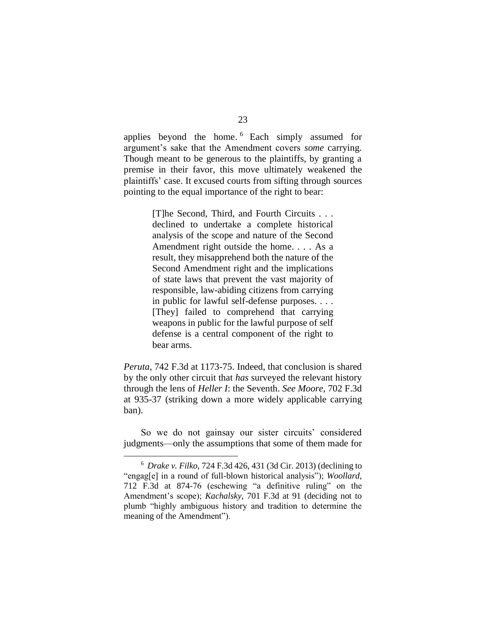applies beyond the home. <sup>6</sup> Each simply assumed for argument's sake that the Amendment covers *some* carrying. Though meant to be generous to the plaintiffs, by granting a premise in their favor, this move ultimately weakened the plaintiffs' case. It excused courts from sifting through sources pointing to the equal importance of the right to bear:

> [T]he Second, Third, and Fourth Circuits . . . declined to undertake a complete historical analysis of the scope and nature of the Second Amendment right outside the home. . . . As a result, they misapprehend both the nature of the Second Amendment right and the implications of state laws that prevent the vast majority of responsible, law-abiding citizens from carrying in public for lawful self-defense purposes. . . . [They] failed to comprehend that carrying weapons in public for the lawful purpose of self defense is a central component of the right to bear arms.

*Peruta*, 742 F.3d at 1173-75. Indeed, that conclusion is shared by the only other circuit that *has* surveyed the relevant history through the lens of *Heller I*: the Seventh. *See Moore*, 702 F.3d at 935-37 (striking down a more widely applicable carrying ban).

So we do not gainsay our sister circuits' considered judgments—only the assumptions that some of them made for

<sup>6</sup> *Drake v. Filko*, 724 F.3d 426, 431 (3d Cir. 2013) (declining to "engag[e] in a round of full-blown historical analysis"); *Woollard*, 712 F.3d at 874-76 (eschewing "a definitive ruling" on the Amendment's scope); *Kachalsky*, 701 F.3d at 91 (deciding not to plumb "highly ambiguous history and tradition to determine the meaning of the Amendment").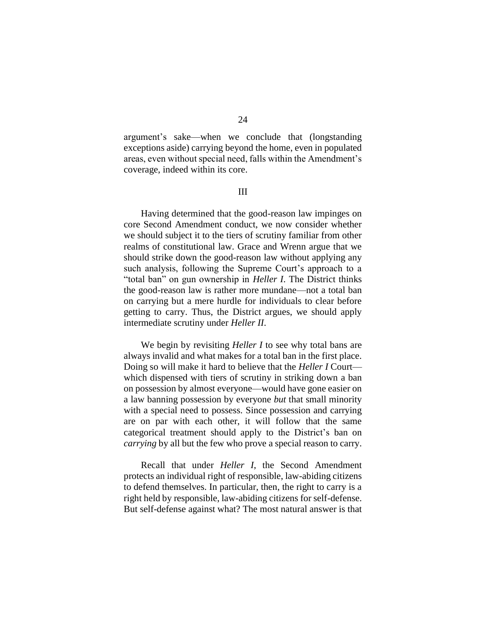argument's sake—when we conclude that (longstanding exceptions aside) carrying beyond the home, even in populated areas, even without special need, falls within the Amendment's coverage, indeed within its core.

III

Having determined that the good-reason law impinges on core Second Amendment conduct, we now consider whether we should subject it to the tiers of scrutiny familiar from other realms of constitutional law. Grace and Wrenn argue that we should strike down the good-reason law without applying any such analysis, following the Supreme Court's approach to a "total ban" on gun ownership in *Heller I*. The District thinks the good-reason law is rather more mundane—not a total ban on carrying but a mere hurdle for individuals to clear before getting to carry. Thus, the District argues, we should apply intermediate scrutiny under *Heller II*.

We begin by revisiting *Heller I* to see why total bans are always invalid and what makes for a total ban in the first place. Doing so will make it hard to believe that the *Heller I* Court which dispensed with tiers of scrutiny in striking down a ban on possession by almost everyone—would have gone easier on a law banning possession by everyone *but* that small minority with a special need to possess. Since possession and carrying are on par with each other, it will follow that the same categorical treatment should apply to the District's ban on *carrying* by all but the few who prove a special reason to carry.

Recall that under *Heller I*, the Second Amendment protects an individual right of responsible, law-abiding citizens to defend themselves. In particular, then, the right to carry is a right held by responsible, law-abiding citizens for self-defense. But self-defense against what? The most natural answer is that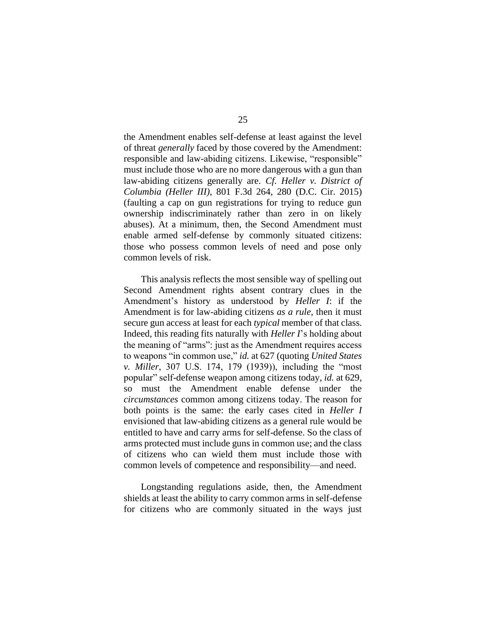the Amendment enables self-defense at least against the level of threat *generally* faced by those covered by the Amendment: responsible and law-abiding citizens. Likewise, "responsible" must include those who are no more dangerous with a gun than law-abiding citizens generally are. *Cf. Heller v. District of Columbia (Heller III)*, 801 F.3d 264, 280 (D.C. Cir. 2015) (faulting a cap on gun registrations for trying to reduce gun ownership indiscriminately rather than zero in on likely abuses). At a minimum, then, the Second Amendment must enable armed self-defense by commonly situated citizens: those who possess common levels of need and pose only common levels of risk.

This analysis reflects the most sensible way of spelling out Second Amendment rights absent contrary clues in the Amendment's history as understood by *Heller I*: if the Amendment is for law-abiding citizens *as a rule*, then it must secure gun access at least for each *typical* member of that class. Indeed, this reading fits naturally with *Heller I*'s holding about the meaning of "arms": just as the Amendment requires access to weapons "in common use," *id.* at 627 (quoting *United States v. Miller*, 307 U.S. 174, 179 (1939)), including the "most popular" self-defense weapon among citizens today, *id.* at 629, so must the Amendment enable defense under the *circumstances* common among citizens today. The reason for both points is the same: the early cases cited in *Heller I* envisioned that law-abiding citizens as a general rule would be entitled to have and carry arms for self-defense. So the class of arms protected must include guns in common use; and the class of citizens who can wield them must include those with common levels of competence and responsibility—and need.

Longstanding regulations aside, then, the Amendment shields at least the ability to carry common arms in self-defense for citizens who are commonly situated in the ways just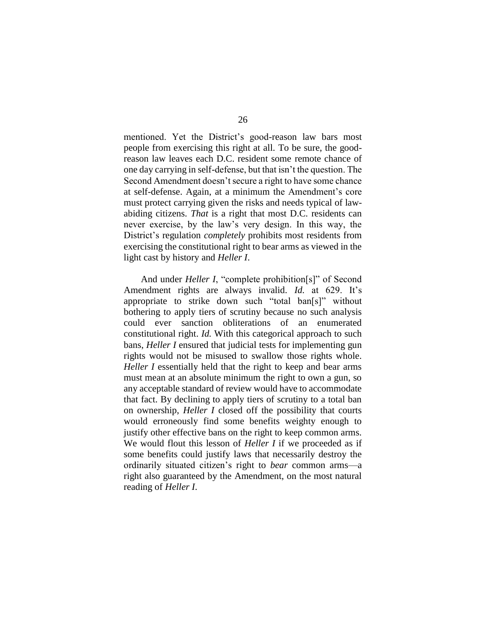mentioned. Yet the District's good-reason law bars most people from exercising this right at all. To be sure, the goodreason law leaves each D.C. resident some remote chance of one day carrying in self-defense, but that isn't the question. The Second Amendment doesn't secure a right to have some chance at self-defense. Again, at a minimum the Amendment's core must protect carrying given the risks and needs typical of lawabiding citizens. *That* is a right that most D.C. residents can never exercise, by the law's very design. In this way, the District's regulation *completely* prohibits most residents from exercising the constitutional right to bear arms as viewed in the light cast by history and *Heller I*.

And under *Heller I*, "complete prohibition[s]" of Second Amendment rights are always invalid. *Id.* at 629. It's appropriate to strike down such "total ban[s]" without bothering to apply tiers of scrutiny because no such analysis could ever sanction obliterations of an enumerated constitutional right. *Id.* With this categorical approach to such bans, *Heller I* ensured that judicial tests for implementing gun rights would not be misused to swallow those rights whole. *Heller I* essentially held that the right to keep and bear arms must mean at an absolute minimum the right to own a gun, so any acceptable standard of review would have to accommodate that fact. By declining to apply tiers of scrutiny to a total ban on ownership, *Heller I* closed off the possibility that courts would erroneously find some benefits weighty enough to justify other effective bans on the right to keep common arms. We would flout this lesson of *Heller I* if we proceeded as if some benefits could justify laws that necessarily destroy the ordinarily situated citizen's right to *bear* common arms—a right also guaranteed by the Amendment, on the most natural reading of *Heller I*.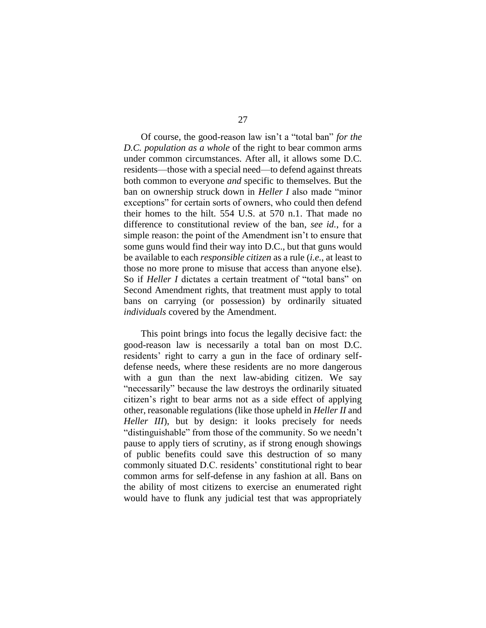Of course, the good-reason law isn't a "total ban" *for the D.C. population as a whole* of the right to bear common arms under common circumstances. After all, it allows some D.C. residents—those with a special need—to defend against threats both common to everyone *and* specific to themselves. But the ban on ownership struck down in *Heller I* also made "minor exceptions" for certain sorts of owners, who could then defend their homes to the hilt. 554 U.S. at 570 n.1. That made no difference to constitutional review of the ban, *see id.*, for a simple reason: the point of the Amendment isn't to ensure that some guns would find their way into D.C., but that guns would be available to each *responsible citizen* as a rule (*i.e.*, at least to those no more prone to misuse that access than anyone else). So if *Heller I* dictates a certain treatment of "total bans" on Second Amendment rights, that treatment must apply to total bans on carrying (or possession) by ordinarily situated *individuals* covered by the Amendment.

This point brings into focus the legally decisive fact: the good-reason law is necessarily a total ban on most D.C. residents' right to carry a gun in the face of ordinary selfdefense needs, where these residents are no more dangerous with a gun than the next law-abiding citizen. We say "necessarily" because the law destroys the ordinarily situated citizen's right to bear arms not as a side effect of applying other, reasonable regulations (like those upheld in *Heller II* and *Heller III*), but by design: it looks precisely for needs "distinguishable" from those of the community. So we needn't pause to apply tiers of scrutiny, as if strong enough showings of public benefits could save this destruction of so many commonly situated D.C. residents' constitutional right to bear common arms for self-defense in any fashion at all. Bans on the ability of most citizens to exercise an enumerated right would have to flunk any judicial test that was appropriately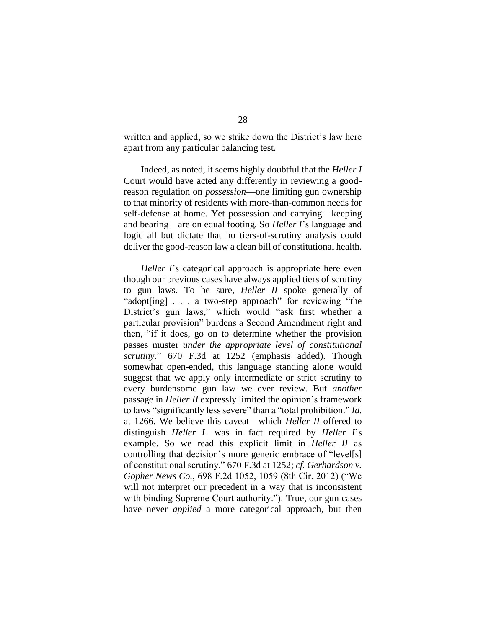written and applied, so we strike down the District's law here apart from any particular balancing test.

Indeed, as noted, it seems highly doubtful that the *Heller I*  Court would have acted any differently in reviewing a goodreason regulation on *possession*—one limiting gun ownership to that minority of residents with more-than-common needs for self-defense at home. Yet possession and carrying—keeping and bearing—are on equal footing. So *Heller I*'s language and logic all but dictate that no tiers-of-scrutiny analysis could deliver the good-reason law a clean bill of constitutional health.

*Heller I*'s categorical approach is appropriate here even though our previous cases have always applied tiers of scrutiny to gun laws. To be sure, *Heller II* spoke generally of "adopt[ing] . . . a two-step approach" for reviewing "the District's gun laws," which would "ask first whether a particular provision" burdens a Second Amendment right and then, "if it does, go on to determine whether the provision passes muster *under the appropriate level of constitutional scrutiny*." 670 F.3d at 1252 (emphasis added). Though somewhat open-ended, this language standing alone would suggest that we apply only intermediate or strict scrutiny to every burdensome gun law we ever review. But *another* passage in *Heller II* expressly limited the opinion's framework to laws "significantly less severe" than a "total prohibition." *Id.*  at 1266. We believe this caveat—which *Heller II* offered to distinguish *Heller I*—was in fact required by *Heller I*'s example. So we read this explicit limit in *Heller II* as controlling that decision's more generic embrace of "level[s] of constitutional scrutiny." 670 F.3d at 1252; *cf. Gerhardson v. Gopher News Co.*, 698 F.2d 1052, 1059 (8th Cir. 2012) ("We will not interpret our precedent in a way that is inconsistent with binding Supreme Court authority."). True, our gun cases have never *applied* a more categorical approach, but then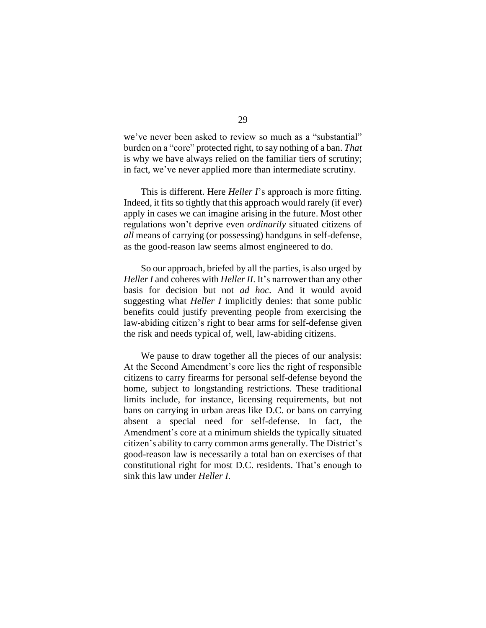we've never been asked to review so much as a "substantial" burden on a "core" protected right, to say nothing of a ban. *That* is why we have always relied on the familiar tiers of scrutiny; in fact, we've never applied more than intermediate scrutiny.

This is different. Here *Heller I*'s approach is more fitting. Indeed, it fits so tightly that this approach would rarely (if ever) apply in cases we can imagine arising in the future. Most other regulations won't deprive even *ordinarily* situated citizens of *all* means of carrying (or possessing) handguns in self-defense, as the good-reason law seems almost engineered to do.

So our approach, briefed by all the parties, is also urged by *Heller I* and coheres with *Heller II*. It's narrower than any other basis for decision but not *ad hoc*. And it would avoid suggesting what *Heller I* implicitly denies: that some public benefits could justify preventing people from exercising the law-abiding citizen's right to bear arms for self-defense given the risk and needs typical of, well, law-abiding citizens.

We pause to draw together all the pieces of our analysis: At the Second Amendment's core lies the right of responsible citizens to carry firearms for personal self-defense beyond the home, subject to longstanding restrictions. These traditional limits include, for instance, licensing requirements, but not bans on carrying in urban areas like D.C. or bans on carrying absent a special need for self-defense. In fact, the Amendment's core at a minimum shields the typically situated citizen's ability to carry common arms generally. The District's good-reason law is necessarily a total ban on exercises of that constitutional right for most D.C. residents. That's enough to sink this law under *Heller I*.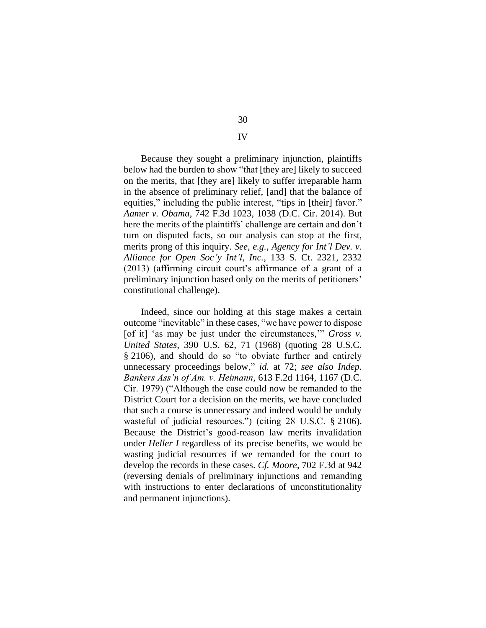Because they sought a preliminary injunction, plaintiffs below had the burden to show "that [they are] likely to succeed on the merits, that [they are] likely to suffer irreparable harm in the absence of preliminary relief, [and] that the balance of equities," including the public interest, "tips in [their] favor." *Aamer v. Obama*, 742 F.3d 1023, 1038 (D.C. Cir. 2014). But here the merits of the plaintiffs' challenge are certain and don't turn on disputed facts, so our analysis can stop at the first, merits prong of this inquiry. *See, e.g.*, *Agency for Int'l Dev. v. Alliance for Open Soc'y Int'l, Inc.*, 133 S. Ct. 2321, 2332 (2013) (affirming circuit court's affirmance of a grant of a preliminary injunction based only on the merits of petitioners' constitutional challenge).

Indeed, since our holding at this stage makes a certain outcome "inevitable" in these cases, "we have power to dispose [of it] 'as may be just under the circumstances,'" *Gross v. United States*, 390 U.S. 62, 71 (1968) (quoting 28 U.S.C. § 2106), and should do so "to obviate further and entirely unnecessary proceedings below," *id.* at 72; *see also Indep. Bankers Ass'n of Am. v. Heimann*, 613 F.2d 1164, 1167 (D.C. Cir. 1979) ("Although the case could now be remanded to the District Court for a decision on the merits, we have concluded that such a course is unnecessary and indeed would be unduly wasteful of judicial resources.") (citing 28 U.S.C. § 2106). Because the District's good-reason law merits invalidation under *Heller I* regardless of its precise benefits, we would be wasting judicial resources if we remanded for the court to develop the records in these cases. *Cf. Moore*, 702 F.3d at 942 (reversing denials of preliminary injunctions and remanding with instructions to enter declarations of unconstitutionality and permanent injunctions).

## 30

IV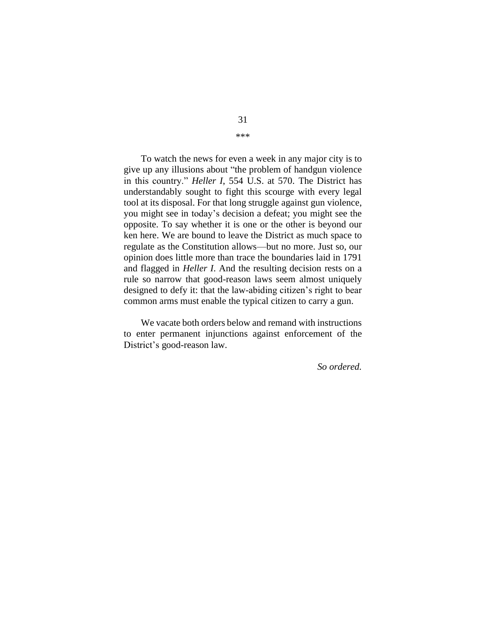To watch the news for even a week in any major city is to give up any illusions about "the problem of handgun violence in this country." *Heller I*, 554 U.S. at 570. The District has understandably sought to fight this scourge with every legal tool at its disposal. For that long struggle against gun violence, you might see in today's decision a defeat; you might see the opposite. To say whether it is one or the other is beyond our ken here. We are bound to leave the District as much space to regulate as the Constitution allows—but no more. Just so, our opinion does little more than trace the boundaries laid in 1791 and flagged in *Heller I*. And the resulting decision rests on a rule so narrow that good-reason laws seem almost uniquely designed to defy it: that the law-abiding citizen's right to bear common arms must enable the typical citizen to carry a gun.

We vacate both orders below and remand with instructions to enter permanent injunctions against enforcement of the District's good-reason law.

*So ordered.*

# 31

\*\*\*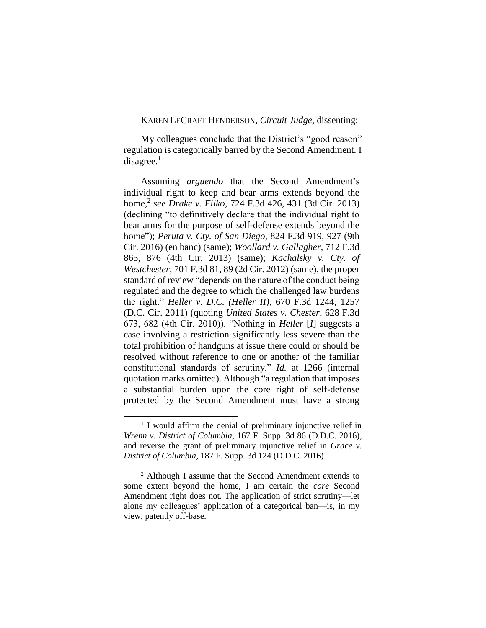#### KAREN LECRAFT HENDERSON, *Circuit Judge*, dissenting:

My colleagues conclude that the District's "good reason" regulation is categorically barred by the Second Amendment. I disagree. $<sup>1</sup>$ </sup>

Assuming *arguendo* that the Second Amendment's individual right to keep and bear arms extends beyond the home,<sup>2</sup> *see Drake v. Filko*, 724 F.3d 426, 431 (3d Cir. 2013) (declining "to definitively declare that the individual right to bear arms for the purpose of self-defense extends beyond the home"); *Peruta v. Cty. of San Diego*, 824 F.3d 919, 927 (9th Cir. 2016) (en banc) (same); *Woollard v. Gallagher*, 712 F.3d 865, 876 (4th Cir. 2013) (same); *Kachalsky v. Cty. of Westchester*, 701 F.3d 81, 89 (2d Cir. 2012) (same), the proper standard of review "depends on the nature of the conduct being regulated and the degree to which the challenged law burdens the right." *Heller v. D.C. (Heller II)*, 670 F.3d 1244, 1257 (D.C. Cir. 2011) (quoting *United States v. Chester*, 628 F.3d 673, 682 (4th Cir. 2010)). "Nothing in *Heller* [*I*] suggests a case involving a restriction significantly less severe than the total prohibition of handguns at issue there could or should be resolved without reference to one or another of the familiar constitutional standards of scrutiny." *Id.* at 1266 (internal quotation marks omitted). Although "a regulation that imposes a substantial burden upon the core right of self-defense protected by the Second Amendment must have a strong

<sup>&</sup>lt;sup>1</sup> I would affirm the denial of preliminary injunctive relief in *Wrenn v. District of Columbia*, 167 F. Supp. 3d 86 (D.D.C. 2016), and reverse the grant of preliminary injunctive relief in *Grace v. District of Columbia*, 187 F. Supp. 3d 124 (D.D.C. 2016).

<sup>2</sup> Although I assume that the Second Amendment extends to some extent beyond the home, I am certain the *core* Second Amendment right does not. The application of strict scrutiny—let alone my colleagues' application of a categorical ban—is, in my view, patently off-base.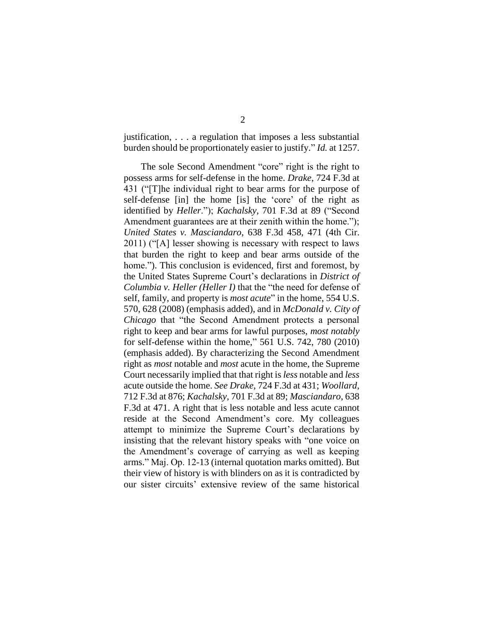justification, . . . a regulation that imposes a less substantial burden should be proportionately easier to justify." *Id.* at 1257.

The sole Second Amendment "core" right is the right to possess arms for self-defense in the home. *Drake*, 724 F.3d at 431 ("[T]he individual right to bear arms for the purpose of self-defense [in] the home [is] the 'core' of the right as identified by *Heller*."); *Kachalsky*, 701 F.3d at 89 ("Second Amendment guarantees are at their zenith within the home."); *United States v. Masciandaro*, 638 F.3d 458, 471 (4th Cir. 2011) ("[A] lesser showing is necessary with respect to laws that burden the right to keep and bear arms outside of the home."). This conclusion is evidenced, first and foremost, by the United States Supreme Court's declarations in *District of Columbia v. Heller (Heller I)* that the "the need for defense of self, family, and property is *most acute*" in the home, 554 U.S. 570, 628 (2008) (emphasis added), and in *McDonald v. City of Chicago* that "the Second Amendment protects a personal right to keep and bear arms for lawful purposes, *most notably* for self-defense within the home," 561 U.S. 742, 780 (2010) (emphasis added). By characterizing the Second Amendment right as *most* notable and *most* acute in the home, the Supreme Court necessarily implied that that right is *less* notable and *less*  acute outside the home. *See Drake*, 724 F.3d at 431; *Woollard*, 712 F.3d at 876; *Kachalsky*, 701 F.3d at 89; *Masciandaro*, 638 F.3d at 471. A right that is less notable and less acute cannot reside at the Second Amendment's core. My colleagues attempt to minimize the Supreme Court's declarations by insisting that the relevant history speaks with "one voice on the Amendment's coverage of carrying as well as keeping arms." Maj. Op. 12-13 (internal quotation marks omitted). But their view of history is with blinders on as it is contradicted by our sister circuits' extensive review of the same historical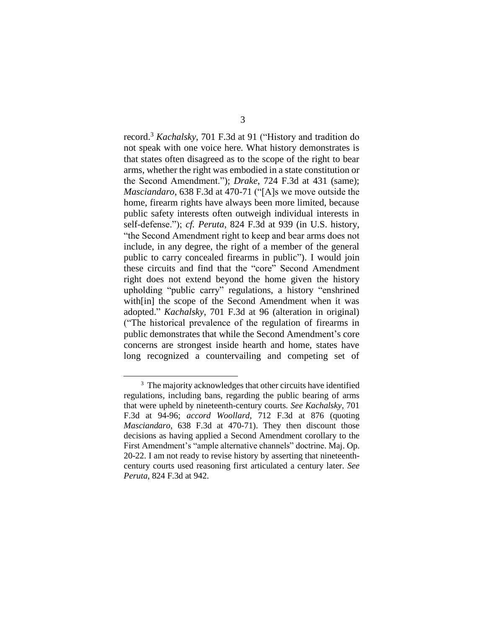record.<sup>3</sup> *Kachalsky*, 701 F.3d at 91 ("History and tradition do not speak with one voice here. What history demonstrates is that states often disagreed as to the scope of the right to bear arms, whether the right was embodied in a state constitution or the Second Amendment."); *Drake*, 724 F.3d at 431 (same); *Masciandaro*, 638 F.3d at 470-71 ("[A]s we move outside the home, firearm rights have always been more limited, because public safety interests often outweigh individual interests in self-defense."); *cf. Peruta*, 824 F.3d at 939 (in U.S. history, "the Second Amendment right to keep and bear arms does not include, in any degree, the right of a member of the general public to carry concealed firearms in public"). I would join these circuits and find that the "core" Second Amendment right does not extend beyond the home given the history upholding "public carry" regulations, a history "enshrined with[in] the scope of the Second Amendment when it was adopted." *Kachalsky*, 701 F.3d at 96 (alteration in original) ("The historical prevalence of the regulation of firearms in public demonstrates that while the Second Amendment's core concerns are strongest inside hearth and home, states have long recognized a countervailing and competing set of

<sup>&</sup>lt;sup>3</sup> The majority acknowledges that other circuits have identified regulations, including bans, regarding the public bearing of arms that were upheld by nineteenth-century courts*. See Kachalsky*, 701 F.3d at 94-96; *accord Woollard*, 712 F.3d at 876 (quoting *Masciandaro*, 638 F.3d at 470-71). They then discount those decisions as having applied a Second Amendment corollary to the First Amendment's "ample alternative channels" doctrine. Maj. Op. 20-22. I am not ready to revise history by asserting that nineteenthcentury courts used reasoning first articulated a century later. *See Peruta*, 824 F.3d at 942.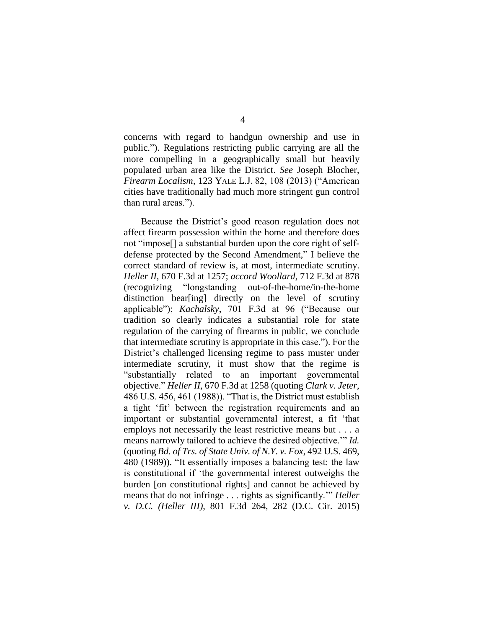concerns with regard to handgun ownership and use in public."). Regulations restricting public carrying are all the more compelling in a geographically small but heavily populated urban area like the District. *See* Joseph Blocher, *Firearm Localism*, 123 YALE L.J. 82, 108 (2013) ("American cities have traditionally had much more stringent gun control than rural areas.").

Because the District's good reason regulation does not affect firearm possession within the home and therefore does not "impose[] a substantial burden upon the core right of selfdefense protected by the Second Amendment," I believe the correct standard of review is, at most, intermediate scrutiny. *Heller II*, 670 F.3d at 1257; *accord Woollard*, 712 F.3d at 878 (recognizing "longstanding out-of-the-home/in-the-home distinction bear[ing] directly on the level of scrutiny applicable"); *Kachalsky*, 701 F.3d at 96 ("Because our tradition so clearly indicates a substantial role for state regulation of the carrying of firearms in public, we conclude that intermediate scrutiny is appropriate in this case."). For the District's challenged licensing regime to pass muster under intermediate scrutiny, it must show that the regime is "substantially related to an important governmental objective." *Heller II*, 670 F.3d at 1258 (quoting *Clark v. Jeter*, 486 U.S. 456, 461 (1988)). "That is, the District must establish a tight 'fit' between the registration requirements and an important or substantial governmental interest, a fit 'that employs not necessarily the least restrictive means but . . . a means narrowly tailored to achieve the desired objective.'" *Id.* (quoting *Bd. of Trs. of State Univ. of N.Y. v. Fox*, 492 U.S. 469, 480 (1989)). "It essentially imposes a balancing test: the law is constitutional if 'the governmental interest outweighs the burden [on constitutional rights] and cannot be achieved by means that do not infringe . . . rights as significantly.'" *Heller v. D.C. (Heller III)*, 801 F.3d 264, 282 (D.C. Cir. 2015)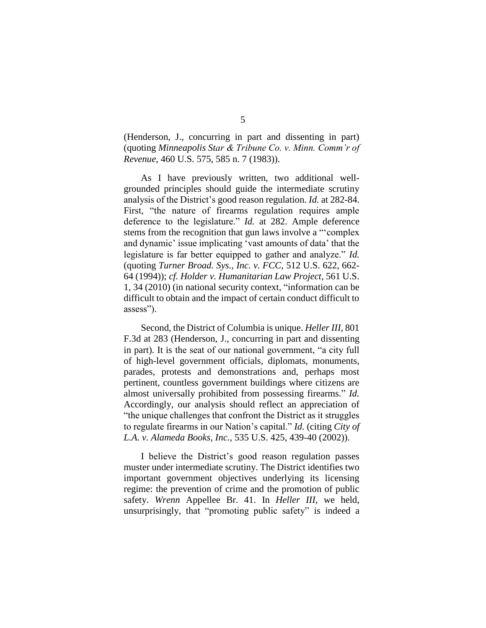(Henderson, J., concurring in part and dissenting in part) (quoting *Minneapolis Star & Tribune Co. v. Minn. Comm'r of Revenue*, 460 U.S. 575, 585 n. 7 (1983)).

As I have previously written, two additional wellgrounded principles should guide the intermediate scrutiny analysis of the District's good reason regulation. *Id.* at 282-84. First, "the nature of firearms regulation requires ample deference to the legislature." *Id.* at 282. Ample deference stems from the recognition that gun laws involve a "'complex and dynamic' issue implicating 'vast amounts of data' that the legislature is far better equipped to gather and analyze." *Id.* (quoting *Turner Broad. Sys., Inc. v. FCC*, 512 U.S. 622, 662- 64 (1994)); *cf. Holder v. Humanitarian Law Project*, 561 U.S. 1, 34 (2010) (in national security context, "information can be difficult to obtain and the impact of certain conduct difficult to assess").

Second, the District of Columbia is unique. *Heller III*, 801 F.3d at 283 (Henderson, J., concurring in part and dissenting in part). It is the seat of our national government, "a city full of high-level government officials, diplomats, monuments, parades, protests and demonstrations and, perhaps most pertinent, countless government buildings where citizens are almost universally prohibited from possessing firearms." *Id.*  Accordingly, our analysis should reflect an appreciation of "the unique challenges that confront the District as it struggles to regulate firearms in our Nation's capital." *Id.* (citing *City of L.A. v. Alameda Books, Inc.*, 535 U.S. 425, 439-40 (2002)).

I believe the District's good reason regulation passes muster under intermediate scrutiny. The District identifies two important government objectives underlying its licensing regime: the prevention of crime and the promotion of public safety. *Wrenn* Appellee Br. 41. In *Heller III*, we held, unsurprisingly, that "promoting public safety" is indeed a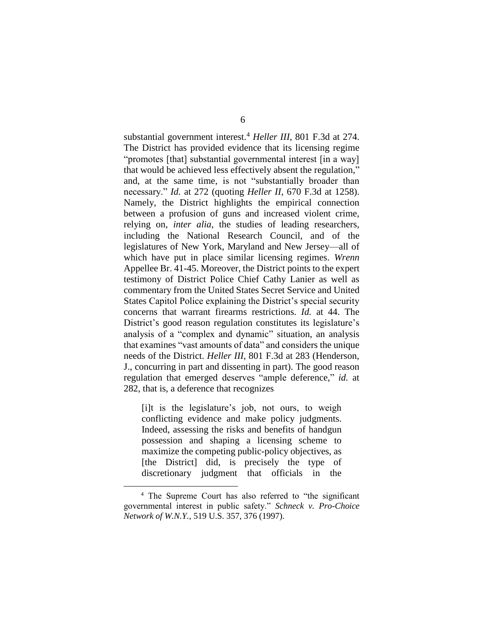substantial government interest.<sup>4</sup> *Heller III*, 801 F.3d at 274. The District has provided evidence that its licensing regime "promotes [that] substantial governmental interest [in a way] that would be achieved less effectively absent the regulation," and, at the same time, is not "substantially broader than necessary." *Id.* at 272 (quoting *Heller II*, 670 F.3d at 1258). Namely, the District highlights the empirical connection between a profusion of guns and increased violent crime, relying on, *inter alia*, the studies of leading researchers, including the National Research Council, and of the legislatures of New York, Maryland and New Jersey—all of which have put in place similar licensing regimes. *Wrenn*  Appellee Br. 41-45. Moreover, the District points to the expert testimony of District Police Chief Cathy Lanier as well as commentary from the United States Secret Service and United States Capitol Police explaining the District's special security concerns that warrant firearms restrictions. *Id.* at 44. The District's good reason regulation constitutes its legislature's analysis of a "complex and dynamic" situation, an analysis that examines "vast amounts of data" and considers the unique needs of the District. *Heller III*, 801 F.3d at 283 (Henderson, J., concurring in part and dissenting in part). The good reason regulation that emerged deserves "ample deference," *id.* at 282, that is, a deference that recognizes

[i]t is the legislature's job, not ours, to weigh conflicting evidence and make policy judgments. Indeed, assessing the risks and benefits of handgun possession and shaping a licensing scheme to maximize the competing public-policy objectives, as [the District] did, is precisely the type of discretionary judgment that officials in the

<sup>4</sup> The Supreme Court has also referred to "the significant governmental interest in public safety." *Schneck v. Pro-Choice Network of W.N.Y.*, 519 U.S. 357, 376 (1997).